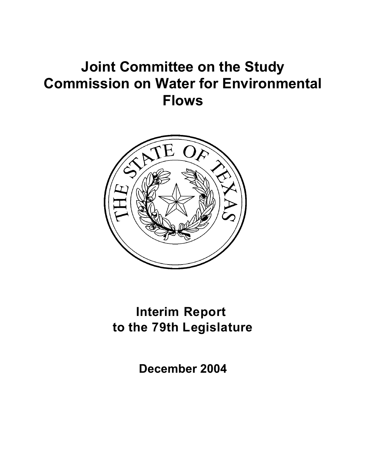# **Joint Committee on the Study Commission on Water for Environmental Flows**



**Interim Report to the 79th Legislature**

**December 2004**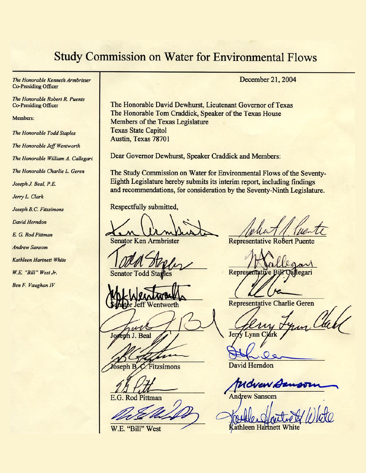### **Study Commission on Water for Environmental Flows**

The Honorable Kenneth Armbrister **Co-Presiding Officer** 

The Honorable Robert R. Puente **Co-Presiding Officer** 

Members:

The Honorable Todd Staples

The Honorable Jeff Wentworth

The Honorable William A. Callegari

The Honorable Charlie L. Geren

Joseph J. Beal, P.E.

Jerry L. Clark

Joseph B.C. Fitzsimons

David Herndon

E. G. Rod Pittman

**Andrew Sansom** 

**Kathleen Hartnett White** 

W.E. "Bill" West Jr.

**Ben F. Vaughan IV** 

#### December 21, 2004

The Honorable David Dewhurst, Lieutenant Governor of Texas The Honorable Tom Craddick, Speaker of the Texas House **Members of the Texas Legislature Texas State Capitol** Austin, Texas 78701

Dear Governor Dewhurst, Speaker Craddick and Members:

The Study Commission on Water for Environmental Flows of the Seventy-Eighth Legislature hereby submits its interim report, including findings and recommendations, for consideration by the Seventy-Ninth Legislature.

Respectfully submitted,

**Senator Ken Armbrister** 

Senator

Wentworth

J. Beal

 $\delta$ seph B $\mathcal{\mathcal{L}}$ Fitzsimons

E.G. Rod Pittman

W.E. "Bill" West

**Representative Robert Puente** 

Represer

**Representative Charlie Geren** 

Jerry Lynn Clark

David Herndon

1 Cvew Ban

**Andrew Sansom** 

athleen Hartnett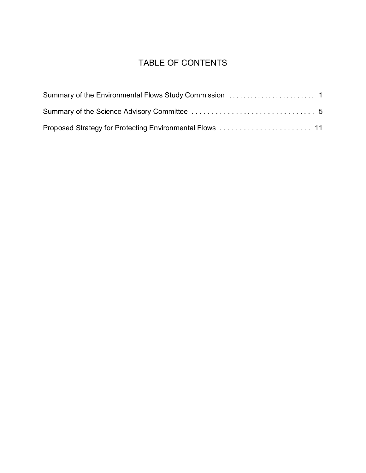### TABLE OF CONTENTS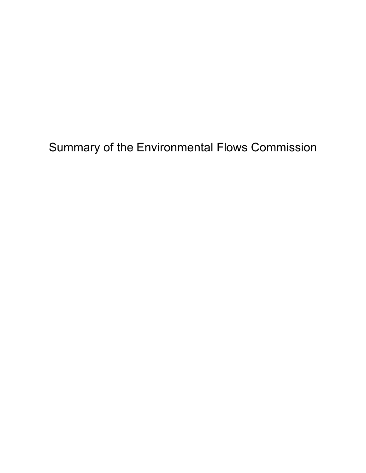Summary of the Environmental Flows Commission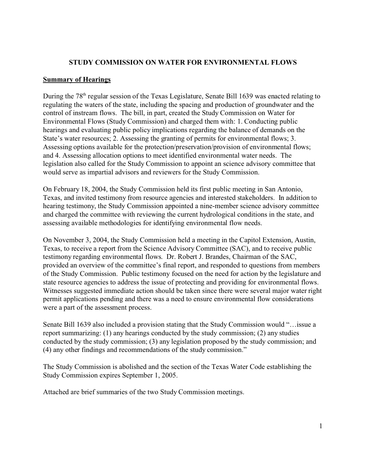#### **STUDY COMMISSION ON WATER FOR ENVIRONMENTAL FLOWS**

#### **Summary of Hearings**

During the 78<sup>th</sup> regular session of the Texas Legislature, Senate Bill 1639 was enacted relating to regulating the waters of the state, including the spacing and production of groundwater and the control of instream flows. The bill, in part, created the Study Commission on Water for Environmental Flows (Study Commission) and charged them with: 1. Conducting public hearings and evaluating public policy implications regarding the balance of demands on the State's water resources; 2. Assessing the granting of permits for environmental flows; 3. Assessing options available for the protection/preservation/provision of environmental flows; and 4. Assessing allocation options to meet identified environmental water needs. The legislation also called for the Study Commission to appoint an science advisory committee that would serve as impartial advisors and reviewers for the Study Commission.

On February 18, 2004, the Study Commission held its first public meeting in San Antonio, Texas, and invited testimony from resource agencies and interested stakeholders. In addition to hearing testimony, the Study Commission appointed a nine-member science advisory committee and charged the committee with reviewing the current hydrological conditions in the state, and assessing available methodologies for identifying environmental flow needs.

On November 3, 2004, the Study Commission held a meeting in the Capitol Extension, Austin, Texas, to receive a report from the Science Advisory Committee (SAC), and to receive public testimony regarding environmental flows. Dr. Robert J. Brandes, Chairman of the SAC, provided an overview of the committee's final report, and responded to questions from members of the Study Commission. Public testimony focused on the need for action by the legislature and state resource agencies to address the issue of protecting and providing for environmental flows. Witnesses suggested immediate action should be taken since there were several major water right permit applications pending and there was a need to ensure environmental flow considerations were a part of the assessment process.

Senate Bill 1639 also included a provision stating that the Study Commission would "…issue a report summarizing: (1) any hearings conducted by the study commission; (2) any studies conducted by the study commission; (3) any legislation proposed by the study commission; and (4) any other findings and recommendations of the study commission."

The Study Commission is abolished and the section of the Texas Water Code establishing the Study Commission expires September 1, 2005.

Attached are brief summaries of the two Study Commission meetings.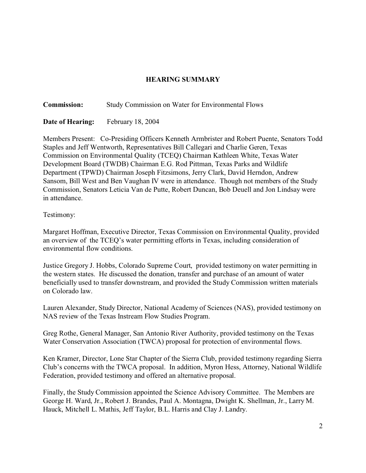#### **HEARING SUMMARY**

**Commission:** Study Commission on Water for Environmental Flows

**Date of Hearing:** February 18, 2004

Members Present: Co-Presiding Officers Kenneth Armbrister and Robert Puente, Senators Todd Staples and Jeff Wentworth, Representatives Bill Callegari and Charlie Geren, Texas Commission on Environmental Quality (TCEQ) Chairman Kathleen White, Texas Water Development Board (TWDB) Chairman E.G. Rod Pittman, Texas Parks and Wildlife Department (TPWD) Chairman Joseph Fitzsimons, Jerry Clark, David Herndon, Andrew Sansom, Bill West and Ben Vaughan IV were in attendance. Though not members of the Study Commission, Senators Leticia Van de Putte, Robert Duncan, Bob Deuell and Jon Lindsay were in attendance.

#### Testimony:

Margaret Hoffman, Executive Director, Texas Commission on Environmental Quality, provided an overview of the TCEQ's water permitting efforts in Texas, including consideration of environmental flow conditions.

Justice Gregory J. Hobbs, Colorado Supreme Court, provided testimony on water permitting in the western states. He discussed the donation, transfer and purchase of an amount of water beneficially used to transfer downstream, and provided the Study Commission written materials on Colorado law.

Lauren Alexander, Study Director, National Academy of Sciences (NAS), provided testimony on NAS review of the Texas Instream Flow Studies Program.

Greg Rothe, General Manager, San Antonio River Authority, provided testimony on the Texas Water Conservation Association (TWCA) proposal for protection of environmental flows.

Ken Kramer, Director, Lone Star Chapter of the Sierra Club, provided testimony regarding Sierra Club's concerns with the TWCA proposal. In addition, Myron Hess, Attorney, National Wildlife Federation, provided testimony and offered an alternative proposal.

Finally, the Study Commission appointed the Science Advisory Committee. The Members are George H. Ward, Jr., Robert J. Brandes, Paul A. Montagna, Dwight K. Shellman, Jr., Larry M. Hauck, Mitchell L. Mathis, Jeff Taylor, B.L. Harris and Clay J. Landry.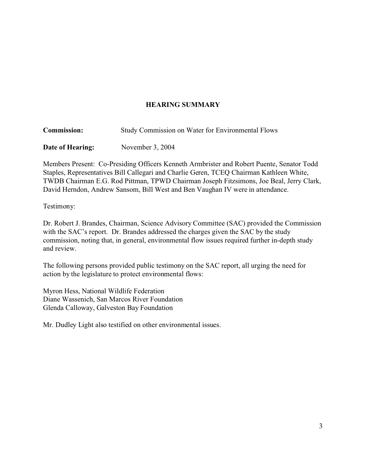#### **HEARING SUMMARY**

**Commission:** Study Commission on Water for Environmental Flows

**Date of Hearing:** November 3, 2004

Members Present: Co-Presiding Officers Kenneth Armbrister and Robert Puente, Senator Todd Staples, Representatives Bill Callegari and Charlie Geren, TCEQ Chairman Kathleen White, TWDB Chairman E.G. Rod Pittman, TPWD Chairman Joseph Fitzsimons, Joe Beal, Jerry Clark, David Herndon, Andrew Sansom, Bill West and Ben Vaughan IV were in attendance.

Testimony:

Dr. Robert J. Brandes, Chairman, Science Advisory Committee (SAC) provided the Commission with the SAC's report. Dr. Brandes addressed the charges given the SAC by the study commission, noting that, in general, environmental flow issues required further in-depth study and review.

The following persons provided public testimony on the SAC report, all urging the need for action by the legislature to protect environmental flows:

Myron Hess, National Wildlife Federation Diane Wassenich, San Marcos River Foundation Glenda Calloway, Galveston Bay Foundation

Mr. Dudley Light also testified on other environmental issues.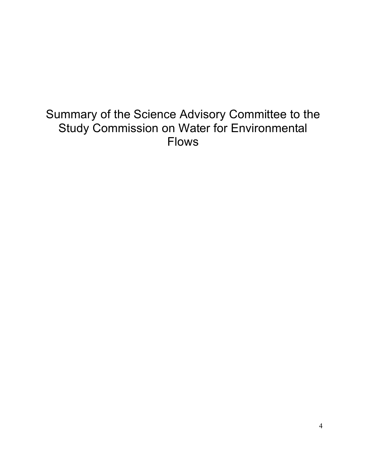## Summary of the Science Advisory Committee to the Study Commission on Water for Environmental Flows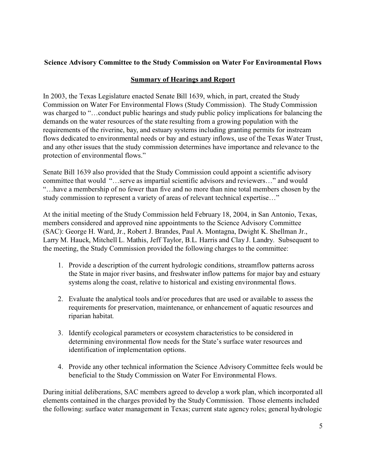#### **Science Advisory Committee to the Study Commission on Water For Environmental Flows**

#### **Summary of Hearings and Report**

In 2003, the Texas Legislature enacted Senate Bill 1639, which, in part, created the Study Commission on Water For Environmental Flows (Study Commission). The Study Commission was charged to "…conduct public hearings and study public policy implications for balancing the demands on the water resources of the state resulting from a growing population with the requirements of the riverine, bay, and estuary systems including granting permits for instream flows dedicated to environmental needs or bay and estuary inflows, use of the Texas Water Trust, and any other issues that the study commission determines have importance and relevance to the protection of environmental flows."

Senate Bill 1639 also provided that the Study Commission could appoint a scientific advisory committee that would "…serve as impartial scientific advisors and reviewers…" and would "…have a membership of no fewer than five and no more than nine total members chosen by the study commission to represent a variety of areas of relevant technical expertise…"

At the initial meeting of the Study Commission held February 18, 2004, in San Antonio, Texas, members considered and approved nine appointments to the Science Advisory Committee (SAC): George H. Ward, Jr., Robert J. Brandes, Paul A. Montagna, Dwight K. Shellman Jr., Larry M. Hauck, Mitchell L. Mathis, Jeff Taylor, B.L. Harris and Clay J. Landry. Subsequent to the meeting, the Study Commission provided the following charges to the committee:

- 1. Provide a description of the current hydrologic conditions, streamflow patterns across the State in major river basins, and freshwater inflow patterns for major bay and estuary systems along the coast, relative to historical and existing environmental flows.
- 2. Evaluate the analytical tools and/or procedures that are used or available to assess the requirements for preservation, maintenance, or enhancement of aquatic resources and riparian habitat.
- 3. Identify ecological parameters or ecosystem characteristics to be considered in determining environmental flow needs for the State's surface water resources and identification of implementation options.
- 4. Provide any other technical information the Science Advisory Committee feels would be beneficial to the Study Commission on Water For Environmental Flows.

During initial deliberations, SAC members agreed to develop a work plan, which incorporated all elements contained in the charges provided by the Study Commission. Those elements included the following: surface water management in Texas; current state agency roles; general hydrologic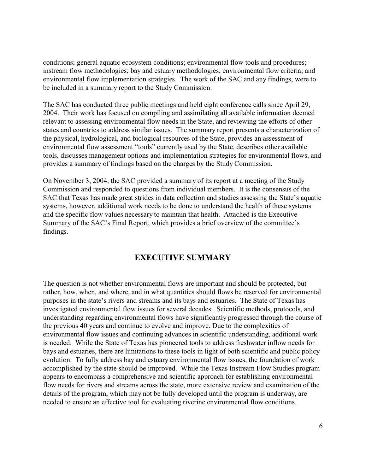conditions; general aquatic ecosystem conditions; environmental flow tools and procedures; instream flow methodologies; bay and estuary methodologies; environmental flow criteria; and environmental flow implementation strategies. The work of the SAC and any findings, were to be included in a summary report to the Study Commission.

The SAC has conducted three public meetings and held eight conference calls since April 29, 2004. Their work has focused on compiling and assimilating all available information deemed relevant to assessing environmental flow needs in the State, and reviewing the efforts of other states and countries to address similar issues. The summary report presents a characterization of the physical, hydrological, and biological resources of the State, provides an assessment of environmental flow assessment "tools" currently used by the State, describes other available tools, discusses management options and implementation strategies for environmental flows, and provides a summary of findings based on the charges by the Study Commission.

On November 3, 2004, the SAC provided a summary of its report at a meeting of the Study Commission and responded to questions from individual members. It is the consensus of the SAC that Texas has made great strides in data collection and studies assessing the State's aquatic systems, however, additional work needs to be done to understand the health of these systems and the specific flow values necessary to maintain that health. Attached is the Executive Summary of the SAC's Final Report, which provides a brief overview of the committee's findings.

#### **EXECUTIVE SUMMARY**

The question is not whether environmental flows are important and should be protected, but rather, how, when, and where, and in what quantities should flows be reserved for environmental purposes in the state's rivers and streams and its bays and estuaries. The State of Texas has investigated environmental flow issues for several decades. Scientific methods, protocols, and understanding regarding environmental flows have significantly progressed through the course of the previous 40 years and continue to evolve and improve. Due to the complexities of environmental flow issues and continuing advances in scientific understanding, additional work is needed. While the State of Texas has pioneered tools to address freshwater inflow needs for bays and estuaries, there are limitations to these tools in light of both scientific and public policy evolution. To fully address bay and estuary environmental flow issues, the foundation of work accomplished by the state should be improved. While the Texas Instream Flow Studies program appears to encompass a comprehensive and scientific approach for establishing environmental flow needs for rivers and streams across the state, more extensive review and examination of the details of the program, which may not be fully developed until the program is underway, are needed to ensure an effective tool for evaluating riverine environmental flow conditions.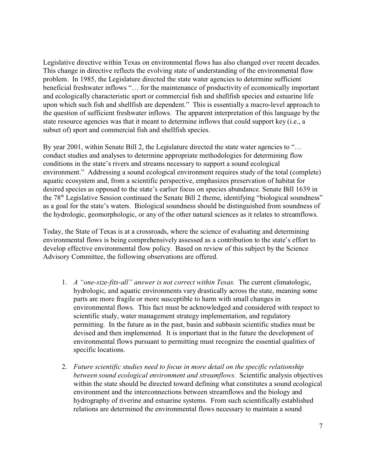Legislative directive within Texas on environmental flows has also changed over recent decades. This change in directive reflects the evolving state of understanding of the environmental flow problem. In 1985, the Legislature directed the state water agencies to determine sufficient beneficial freshwater inflows "… for the maintenance of productivity of economically important and ecologically characteristic sport or commercial fish and shellfish species and estuarine life upon which such fish and shellfish are dependent." This is essentially a macro-level approach to the question of sufficient freshwater inflows. The apparent interpretation of this language by the state resource agencies was that it meant to determine inflows that could support key (i.e., a subset of) sport and commercial fish and shellfish species.

By year 2001, within Senate Bill 2, the Legislature directed the state water agencies to "... conduct studies and analyses to determine appropriate methodologies for determining flow conditions in the state's rivers and streams necessary to support a sound ecological environment." Addressing a sound ecological environment requires study of the total (complete) aquatic ecosystem and, from a scientific perspective, emphasizes preservation of habitat for desired species as opposed to the state's earlier focus on species abundance. Senate Bill 1639 in the 78<sup>th</sup> Legislative Session continued the Senate Bill 2 theme, identifying "biological soundness" as a goal for the state's waters. Biological soundness should be distinguished from soundness of the hydrologic, geomorphologic, or any of the other natural sciences as it relates to streamflows.

Today, the State of Texas is at a crossroads, where the science of evaluating and determining environmental flows is being comprehensively assessed as a contribution to the state's effort to develop effective environmental flow policy. Based on review of this subject by the Science Advisory Committee, the following observations are offered.

- 1. *A "one-size-fits-all" answer is not correct within Texas.* The current climatologic, hydrologic, and aquatic environments vary drastically across the state, meaning some parts are more fragile or more susceptible to harm with small changes in environmental flows. This fact must be acknowledged and considered with respect to scientific study, water management strategy implementation, and regulatory permitting. In the future as in the past, basin and subbasin scientific studies must be devised and then implemented. It is important that in the future the development of environmental flows pursuant to permitting must recognize the essential qualities of specific locations.
- 2. *Future scientific studies need to focus in more detail on the specific relationship between sound ecological environment and streamflows.* Scientific analysis objectives within the state should be directed toward defining what constitutes a sound ecological environment and the interconnections between streamflows and the biology and hydrography of riverine and estuarine systems. From such scientifically established relations are determined the environmental flows necessary to maintain a sound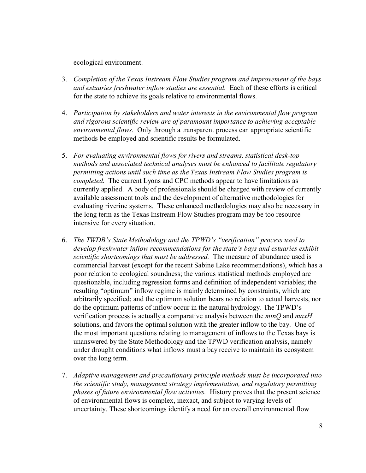ecological environment.

- 3. *Completion of the Texas Instream Flow Studies program and improvement of the bays and estuaries freshwater inflow studies are essential.* Each of these efforts is critical for the state to achieve its goals relative to environmental flows.
- 4. *Participation by stakeholders and water interests in the environmental flow program and rigorous scientific review are of paramount importance to achieving acceptable environmental flows.* Only through a transparent process can appropriate scientific methods be employed and scientific results be formulated.
- 5. *For evaluating environmental flows for rivers and streams, statistical desk-top methods and associated technical analyses must be enhanced to facilitate regulatory permitting actions until such time as the Texas Instream Flow Studies program is completed.* The current Lyons and CPC methods appear to have limitations as currently applied. A body of professionals should be charged with review of currently available assessment tools and the development of alternative methodologies for evaluating riverine systems. These enhanced methodologies may also be necessary in the long term as the Texas Instream Flow Studies program may be too resource intensive for every situation.
- 6. *The TWDB's State Methodology and the TPWD's "verification" process used to develop freshwater inflow recommendations for the state's bays and estuaries exhibit scientific shortcomings that must be addressed.* The measure of abundance used is commercial harvest (except for the recent Sabine Lake recommendations), which has a poor relation to ecological soundness; the various statistical methods employed are questionable, including regression forms and definition of independent variables; the resulting "optimum" inflow regime is mainly determined by constraints, which are arbitrarily specified; and the optimum solution bears no relation to actual harvests, nor do the optimum patterns of inflow occur in the natural hydrology. The TPWD's verification process is actually a comparative analysis between the *minQ* and *maxH* solutions, and favors the optimal solution with the greater inflow to the bay.One of the most important questions relating to management of inflows to the Texas bays is unanswered by the State Methodology and the TPWD verification analysis, namely under drought conditions what inflows must a bay receive to maintain its ecosystem over the long term.
- 7. *Adaptive management and precautionary principle methods must be incorporated into the scientific study, management strategy implementation, and regulatory permitting phases of future environmental flow activities.* History proves that the present science of environmental flows is complex, inexact, and subject to varying levels of uncertainty. These shortcomings identify a need for an overall environmental flow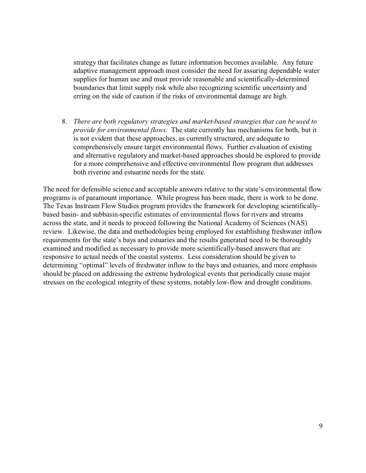strategy that facilitates change as future information becomes available. Any future adaptive management approach must consider the need for assuring dependable water supplies for human use and must provide reasonable and scientifically-determined boundaries that limit supply risk while also recognizing scientific uncertainty and erring on the side of caution if the risks of environmental damage are high.

8. *There are both regulatory strategies and market-based strategies that can be used to provide for environmental flows.* The state currently has mechanisms for both, but it is not evident that these approaches, as currently structured, are adequate to comprehensively ensure target environmental flows. Further evaluation of existing and alternative regulatory and market-based approaches should be explored to provide for a more comprehensive and effective environmental flow program that addresses both riverine and estuarine needs for the state.

The need for defensible science and acceptable answers relative to the state's environmental flow programs is of paramount importance. While progress has been made, there is work to be done. The Texas Instream Flow Studies program provides the framework for developing scientificallybased basin- and subbasin-specific estimates of environmental flows for rivers and streams across the state, and it needs to proceed following the National Academy of Sciences (NAS) review. Likewise, the data and methodologies being employed for establishing freshwater inflow requirements for the state's bays and estuaries and the results generated need to be thoroughly examined and modified as necessary to provide more scientifically-based answers that are responsive to actual needs of the coastal systems. Less consideration should be given to determining "optimal" levels of freshwater inflow to the bays and estuaries, and more emphasis should be placed on addressing the extreme hydrological events that periodically cause major stresses on the ecological integrity of these systems, notably low-flow and drought conditions.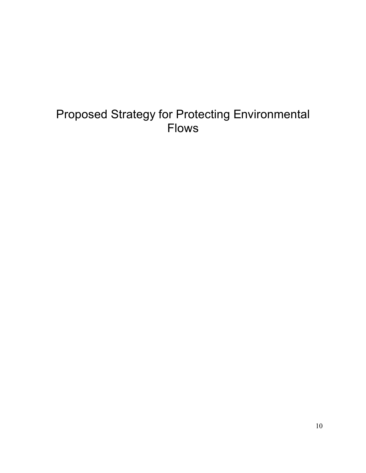## Proposed Strategy for Protecting Environmental Flows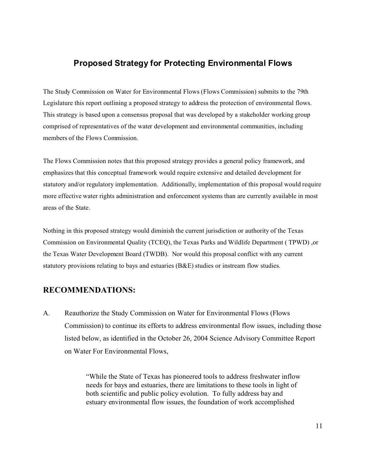#### **Proposed Strategy for Protecting Environmental Flows**

The Study Commission on Water for Environmental Flows (Flows Commission) submits to the 79th Legislature this report outlining a proposed strategy to address the protection of environmental flows. This strategy is based upon a consensus proposal that was developed by a stakeholder working group comprised of representatives of the water development and environmental communities, including members of the Flows Commission.

The Flows Commission notes that this proposed strategy provides a general policy framework, and emphasizes that this conceptual framework would require extensive and detailed development for statutory and/or regulatory implementation. Additionally, implementation of this proposal would require more effective water rights administration and enforcement systems than are currently available in most areas of the State.

Nothing in this proposed strategy would diminish the current jurisdiction or authority of the Texas Commission on Environmental Quality (TCEQ), the Texas Parks and Wildlife Department ( TPWD) ,or the Texas Water Development Board (TWDB). Nor would this proposal conflict with any current statutory provisions relating to bays and estuaries (B&E) studies or instream flow studies.

#### **RECOMMENDATIONS:**

A. Reauthorize the Study Commission on Water for Environmental Flows (Flows Commission) to continue its efforts to address environmental flow issues, including those listed below, as identified in the October 26, 2004 Science Advisory Committee Report on Water For Environmental Flows,

> "While the State of Texas has pioneered tools to address freshwater inflow needs for bays and estuaries, there are limitations to these tools in light of both scientific and public policy evolution. To fully address bay and estuary environmental flow issues, the foundation of work accomplished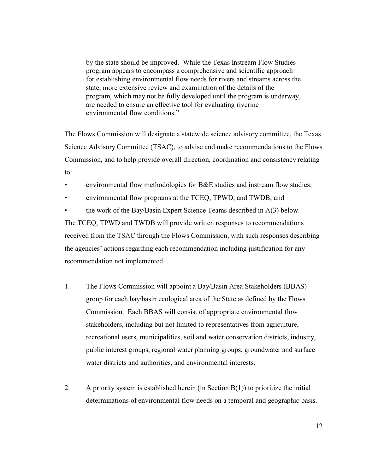by the state should be improved. While the Texas Instream Flow Studies program appears to encompass a comprehensive and scientific approach for establishing environmental flow needs for rivers and streams across the state, more extensive review and examination of the details of the program, which may not be fully developed until the program is underway, are needed to ensure an effective tool for evaluating riverine environmental flow conditions."

The Flows Commission will designate a statewide science advisory committee, the Texas Science Advisory Committee (TSAC), to advise and make recommendations to the Flows Commission, and to help provide overall direction, coordination and consistency relating to:

- environmental flow methodologies for B&E studies and instream flow studies;
- environmental flow programs at the TCEQ, TPWD, and TWDB; and

• the work of the Bay/Basin Expert Science Teams described in A(3) below. The TCEQ, TPWD and TWDB will provide written responses to recommendations received from the TSAC through the Flows Commission, with such responses describing the agencies' actions regarding each recommendation including justification for any recommendation not implemented.

- 1. The Flows Commission will appoint a Bay/Basin Area Stakeholders (BBAS) group for each bay/basin ecological area of the State as defined by the Flows Commission. Each BBAS will consist of appropriate environmental flow stakeholders, including but not limited to representatives from agriculture, recreational users, municipalities, soil and water conservation districts, industry, public interest groups, regional water planning groups, groundwater and surface water districts and authorities, and environmental interests.
- 2. A priority system is established herein (in Section  $B(1)$ ) to prioritize the initial determinations of environmental flow needs on a temporal and geographic basis.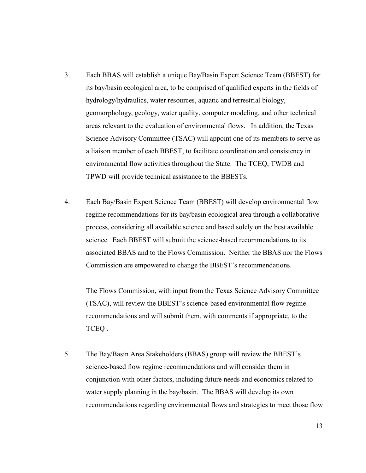- 3. Each BBAS will establish a unique Bay/Basin Expert Science Team (BBEST) for its bay/basin ecological area, to be comprised of qualified experts in the fields of hydrology/hydraulics, water resources, aquatic and terrestrial biology, geomorphology, geology, water quality, computer modeling, and other technical areas relevant to the evaluation of environmental flows. In addition, the Texas Science Advisory Committee (TSAC) will appoint one of its members to serve as a liaison member of each BBEST, to facilitate coordination and consistency in environmental flow activities throughout the State. The TCEQ, TWDB and TPWD will provide technical assistance to the BBESTs.
- 4. Each Bay/Basin Expert Science Team (BBEST) will develop environmental flow regime recommendations for its bay/basin ecological area through a collaborative process, considering all available science and based solely on the best available science. Each BBEST will submit the science-based recommendations to its associated BBAS and to the Flows Commission. Neither the BBAS nor the Flows Commission are empowered to change the BBEST's recommendations.

The Flows Commission, with input from the Texas Science Advisory Committee (TSAC), will review the BBEST's science-based environmental flow regime recommendations and will submit them, with comments if appropriate, to the TCEQ .

5. The Bay/Basin Area Stakeholders (BBAS) group will review the BBEST's science-based flow regime recommendations and will consider them in conjunction with other factors, including future needs and economics related to water supply planning in the bay/basin. The BBAS will develop its own recommendations regarding environmental flows and strategies to meet those flow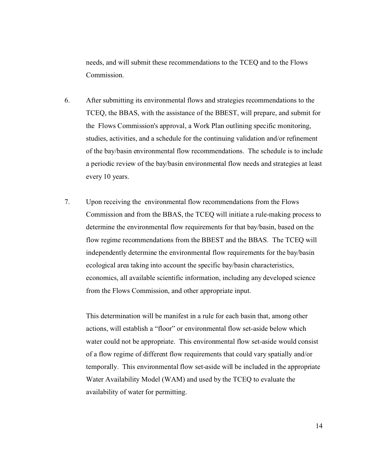needs, and will submit these recommendations to the TCEQ and to the Flows Commission.

- 6. After submitting its environmental flows and strategies recommendations to the TCEQ, the BBAS, with the assistance of the BBEST, will prepare, and submit for the Flows Commission's approval, a Work Plan outlining specific monitoring, studies, activities, and a schedule for the continuing validation and/or refinement of the bay/basin environmental flow recommendations. The schedule is to include a periodic review of the bay/basin environmental flow needs and strategies at least every 10 years.
- 7. Upon receiving the environmental flow recommendations from the Flows Commission and from the BBAS, the TCEQ will initiate a rule-making process to determine the environmental flow requirements for that bay/basin, based on the flow regime recommendations from the BBEST and the BBAS. The TCEQ will independently determine the environmental flow requirements for the bay/basin ecological area taking into account the specific bay/basin characteristics, economics, all available scientific information, including any developed science from the Flows Commission, and other appropriate input.

This determination will be manifest in a rule for each basin that, among other actions, will establish a "floor" or environmental flow set-aside below which water could not be appropriate. This environmental flow set-aside would consist of a flow regime of different flow requirements that could vary spatially and/or temporally. This environmental flow set-aside will be included in the appropriate Water Availability Model (WAM) and used by the TCEQ to evaluate the availability of water for permitting.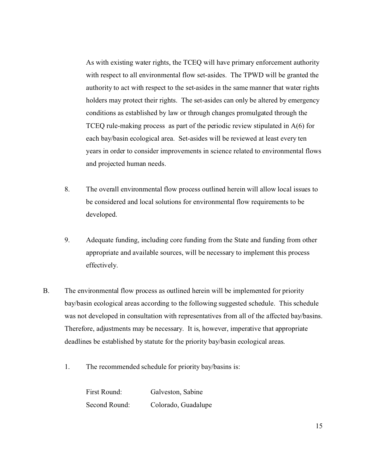As with existing water rights, the TCEQ will have primary enforcement authority with respect to all environmental flow set-asides. The TPWD will be granted the authority to act with respect to the set-asides in the same manner that water rights holders may protect their rights. The set-asides can only be altered by emergency conditions as established by law or through changes promulgated through the TCEQ rule-making process as part of the periodic review stipulated in A(6) for each bay/basin ecological area. Set-asides will be reviewed at least every ten years in order to consider improvements in science related to environmental flows and projected human needs.

- 8. The overall environmental flow process outlined herein will allow local issues to be considered and local solutions for environmental flow requirements to be developed.
- 9. Adequate funding, including core funding from the State and funding from other appropriate and available sources, will be necessary to implement this process effectively.
- B. The environmental flow process as outlined herein will be implemented for priority bay/basin ecological areas according to the following suggested schedule. This schedule was not developed in consultation with representatives from all of the affected bay/basins. Therefore, adjustments may be necessary. It is, however, imperative that appropriate deadlines be established by statute for the priority bay/basin ecological areas.
	- 1. The recommended schedule for priority bay/basins is:

First Round: Galveston, Sabine Second Round: Colorado, Guadalupe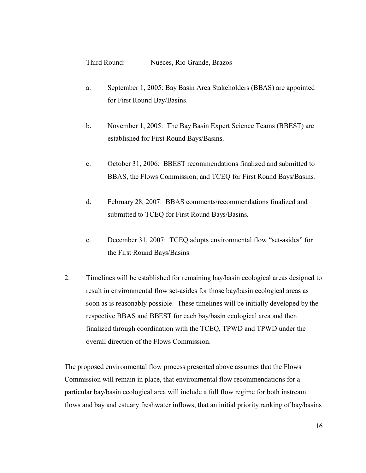Third Round: Nueces, Rio Grande, Brazos

- a. September 1, 2005: Bay Basin Area Stakeholders (BBAS) are appointed for First Round Bay/Basins.
- b. November 1, 2005: The Bay Basin Expert Science Teams (BBEST) are established for First Round Bays/Basins.
- c. October 31, 2006: BBEST recommendations finalized and submitted to BBAS, the Flows Commission, and TCEQ for First Round Bays/Basins.
- d. February 28, 2007: BBAS comments/recommendations finalized and submitted to TCEQ for First Round Bays/Basins.
- e. December 31, 2007: TCEQ adopts environmental flow "set-asides" for the First Round Bays/Basins.
- 2. Timelines will be established for remaining bay/basin ecological areas designed to result in environmental flow set-asides for those bay/basin ecological areas as soon as is reasonably possible. These timelines will be initially developed by the respective BBAS and BBEST for each bay/basin ecological area and then finalized through coordination with the TCEQ, TPWD and TPWD under the overall direction of the Flows Commission.

The proposed environmental flow process presented above assumes that the Flows Commission will remain in place, that environmental flow recommendations for a particular bay/basin ecological area will include a full flow regime for both instream flows and bay and estuary freshwater inflows, that an initial priority ranking of bay/basins